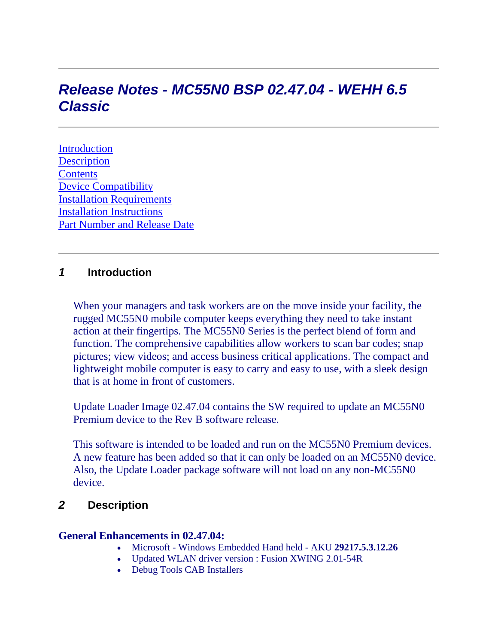# *Release Notes - MC55N0 BSP 02.47.04 - WEHH 6.5 Classic*

**[Introduction](https://atgsupportcentral.motorolasolutions.com/content/emb/docs/ReleaseNotes/Release%20Notes%20-%20MC55N0%20-%20V02.47.04.htm#Introduction) [Description](https://atgsupportcentral.motorolasolutions.com/content/emb/docs/ReleaseNotes/Release%20Notes%20-%20MC55N0%20-%20V02.47.04.htm#Description) [Contents](https://atgsupportcentral.motorolasolutions.com/content/emb/docs/ReleaseNotes/Release%20Notes%20-%20MC55N0%20-%20V02.47.04.htm#Contents)** [Device Compatibility](https://atgsupportcentral.motorolasolutions.com/content/emb/docs/ReleaseNotes/Release%20Notes%20-%20MC55N0%20-%20V02.47.04.htm#Compatibility_) [Installation Requirements](https://atgsupportcentral.motorolasolutions.com/content/emb/docs/ReleaseNotes/Release%20Notes%20-%20MC55N0%20-%20V02.47.04.htm#Installation_Requirements) [Installation Instructions](https://atgsupportcentral.motorolasolutions.com/content/emb/docs/ReleaseNotes/Release%20Notes%20-%20MC55N0%20-%20V02.47.04.htm#Installation_Instructions) [Part Number and Release Date](https://atgsupportcentral.motorolasolutions.com/content/emb/docs/ReleaseNotes/Release%20Notes%20-%20MC55N0%20-%20V02.47.04.htm#Part Number and Release Date)

### *1* **Introduction**

When your managers and task workers are on the move inside your facility, the rugged MC55N0 mobile computer keeps everything they need to take instant action at their fingertips. The MC55N0 Series is the perfect blend of form and function. The comprehensive capabilities allow workers to scan bar codes; snap pictures; view videos; and access business critical applications. The compact and lightweight mobile computer is easy to carry and easy to use, with a sleek design that is at home in front of customers.

Update Loader Image 02.47.04 contains the SW required to update an MC55N0 Premium device to the Rev B software release.

This software is intended to be loaded and run on the MC55N0 Premium devices. A new feature has been added so that it can only be loaded on an MC55N0 device. Also, the Update Loader package software will not load on any non-MC55N0 device.

### *2* **Description**

#### **General Enhancements in 02.47.04:**

- Microsoft Windows Embedded Hand held AKU **29217.5.3.12.26**
- Updated WLAN driver version : Fusion XWING 2.01-54R
- Debug Tools CAB Installers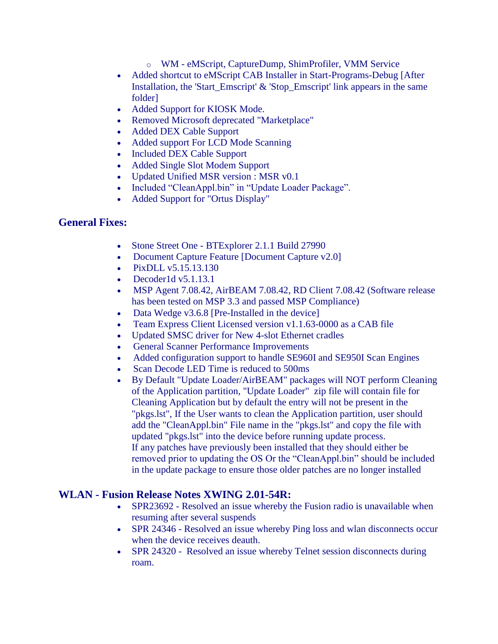- o WM eMScript, CaptureDump, ShimProfiler, VMM Service
- Added shortcut to eMScript CAB Installer in Start-Programs-Debug [After] Installation, the 'Start Emscript'  $\&$  'Stop\_Emscript' link appears in the same folder]
- Added Support for KIOSK Mode.
- Removed Microsoft deprecated "Marketplace"
- Added DEX Cable Support
- Added support For LCD Mode Scanning
- Included DEX Cable Support
- Added Single Slot Modem Support
- Updated Unified MSR version : MSR v0.1
- Included "CleanAppl.bin" in "Update Loader Package".
- Added Support for "Ortus Display"

#### **General Fixes:**

- Stone Street One BTExplorer 2.1.1 Build 27990
- Document Capture Feature [Document Capture v2.0]
- PixDLL v5.15.13.130
- $\bullet$  Decoder1d v5.1.13.1
- MSP Agent 7.08.42, AirBEAM 7.08.42, RD Client 7.08.42 (Software release has been tested on MSP 3.3 and passed MSP Compliance)
- Data Wedge v3.6.8 [Pre-Installed in the device]
- Team Express Client Licensed version v1.1.63-0000 as a CAB file
- Updated SMSC driver for New 4-slot Ethernet cradles
- General Scanner Performance Improvements
- Added configuration support to handle SE960I and SE950I Scan Engines
- Scan Decode LED Time is reduced to 500ms
- By Default "Update Loader/AirBEAM" packages will NOT perform Cleaning of the Application partition, "Update Loader" zip file will contain file for Cleaning Application but by default the entry will not be present in the "pkgs.lst", If the User wants to clean the Application partition, user should add the "CleanAppl.bin" File name in the "pkgs.lst" and copy the file with updated "pkgs.lst" into the device before running update process. If any patches have previously been installed that they should either be removed prior to updating the OS Or the "CleanAppl.bin" should be included in the update package to ensure those older patches are no longer installed

#### **WLAN - Fusion Release Notes XWING 2.01-54R:**

- SPR23692 Resolved an issue whereby the Fusion radio is unavailable when resuming after several suspends
- SPR 24346 Resolved an issue whereby Ping loss and wlan disconnects occur when the device receives deauth.
- SPR 24320 Resolved an issue whereby Telnet session disconnects during roam.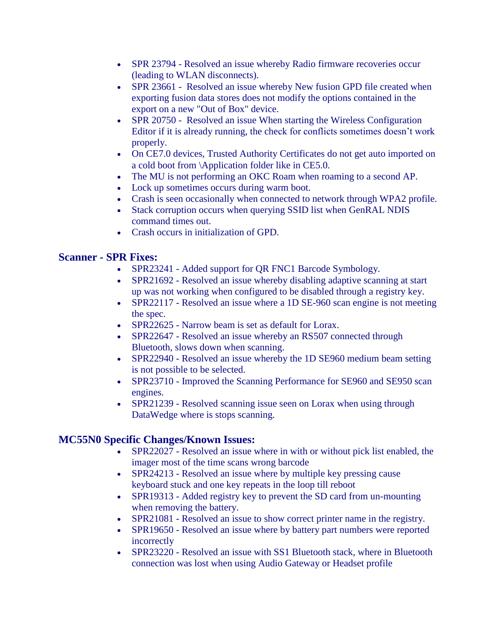- SPR 23794 Resolved an issue whereby Radio firmware recoveries occur (leading to WLAN disconnects).
- SPR 23661 Resolved an issue whereby New fusion GPD file created when exporting fusion data stores does not modify the options contained in the export on a new "Out of Box" device.
- SPR 20750 Resolved an issue When starting the Wireless Configuration Editor if it is already running, the check for conflicts sometimes doesn't work properly.
- On CE7.0 devices, Trusted Authority Certificates do not get auto imported on a cold boot from \Application folder like in CE5.0.
- The MU is not performing an OKC Roam when roaming to a second AP.
- Lock up sometimes occurs during warm boot.
- Crash is seen occasionally when connected to network through WPA2 profile.
- Stack corruption occurs when querying SSID list when GenRAL NDIS command times out.
- Crash occurs in initialization of GPD.

#### **Scanner - SPR Fixes:**

- SPR23241 Added support for QR FNC1 Barcode Symbology.
- SPR21692 Resolved an issue whereby disabling adaptive scanning at start up was not working when configured to be disabled through a registry key.
- SPR22117 Resolved an issue where a 1D SE-960 scan engine is not meeting the spec.
- SPR22625 Narrow beam is set as default for Lorax.
- SPR22647 Resolved an issue whereby an RS507 connected through Bluetooth, slows down when scanning.
- SPR22940 Resolved an issue whereby the 1D SE960 medium beam setting is not possible to be selected.
- SPR23710 Improved the Scanning Performance for SE960 and SE950 scan engines.
- SPR21239 Resolved scanning issue seen on Lorax when using through DataWedge where is stops scanning.

### **MC55N0 Specific Changes/Known Issues:**

- SPR22027 Resolved an issue where in with or without pick list enabled, the imager most of the time scans wrong barcode
- SPR24213 Resolved an issue where by multiple key pressing cause keyboard stuck and one key repeats in the loop till reboot
- SPR19313 Added registry key to prevent the SD card from un-mounting when removing the battery.
- SPR21081 Resolved an issue to show correct printer name in the registry.
- SPR19650 Resolved an issue where by battery part numbers were reported incorrectly
- SPR23220 Resolved an issue with SS1 Bluetooth stack, where in Bluetooth connection was lost when using Audio Gateway or Headset profile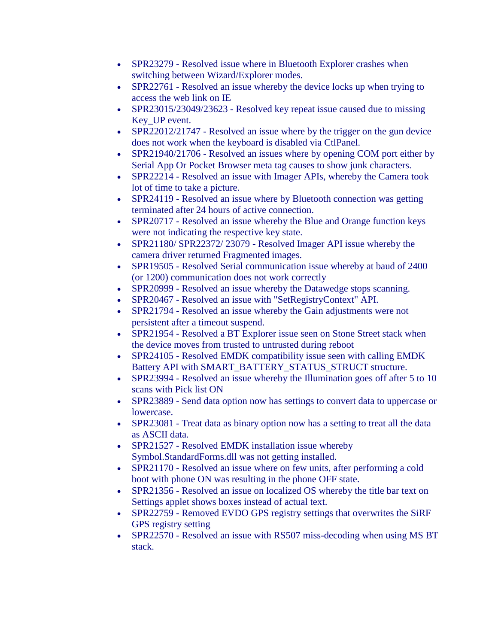- SPR23279 Resolved issue where in Bluetooth Explorer crashes when switching between Wizard/Explorer modes.
- SPR22761 Resolved an issue whereby the device locks up when trying to access the web link on IE
- SPR23015/23049/23623 Resolved key repeat issue caused due to missing Key\_UP event.
- SPR22012/21747 Resolved an issue where by the trigger on the gun device does not work when the keyboard is disabled via CtlPanel.
- SPR21940/21706 Resolved an issues where by opening COM port either by Serial App Or Pocket Browser meta tag causes to show junk characters.
- SPR22214 Resolved an issue with Imager APIs, whereby the Camera took lot of time to take a picture.
- SPR24119 Resolved an issue where by Bluetooth connection was getting terminated after 24 hours of active connection.
- SPR20717 Resolved an issue whereby the Blue and Orange function keys were not indicating the respective key state.
- SPR21180/ SPR22372/ 23079 Resolved Imager API issue whereby the camera driver returned Fragmented images.
- SPR19505 Resolved Serial communication issue whereby at baud of 2400 (or 1200) communication does not work correctly
- SPR20999 Resolved an issue whereby the Datawedge stops scanning.
- SPR20467 Resolved an issue with "SetRegistryContext" API.
- SPR21794 Resolved an issue whereby the Gain adjustments were not persistent after a timeout suspend.
- SPR21954 Resolved a BT Explorer issue seen on Stone Street stack when the device moves from trusted to untrusted during reboot
- SPR24105 Resolved EMDK compatibility issue seen with calling EMDK Battery API with SMART\_BATTERY\_STATUS\_STRUCT structure.
- SPR23994 Resolved an issue whereby the Illumination goes off after 5 to 10 scans with Pick list ON
- SPR23889 Send data option now has settings to convert data to uppercase or lowercase.
- SPR23081 Treat data as binary option now has a setting to treat all the data as ASCII data.
- SPR21527 Resolved EMDK installation issue whereby Symbol.StandardForms.dll was not getting installed.
- SPR21170 Resolved an issue where on few units, after performing a cold boot with phone ON was resulting in the phone OFF state.
- SPR21356 Resolved an issue on localized OS whereby the title bar text on Settings applet shows boxes instead of actual text.
- SPR22759 Removed EVDO GPS registry settings that overwrites the SiRF GPS registry setting
- SPR22570 Resolved an issue with RS507 miss-decoding when using MS BT stack.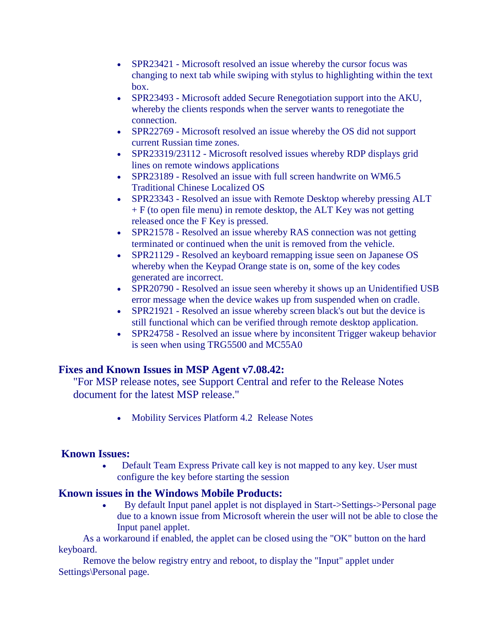- SPR23421 Microsoft resolved an issue whereby the cursor focus was changing to next tab while swiping with stylus to highlighting within the text box.
- SPR23493 Microsoft added Secure Renegotiation support into the AKU, whereby the clients responds when the server wants to renegotiate the connection.
- SPR22769 Microsoft resolved an issue whereby the OS did not support current Russian time zones.
- SPR23319/23112 Microsoft resolved issues whereby RDP displays grid lines on remote windows applications
- SPR23189 Resolved an issue with full screen handwrite on WM6.5 Traditional Chinese Localized OS
- SPR23343 Resolved an issue with Remote Desktop whereby pressing ALT  $+ F$  (to open file menu) in remote desktop, the ALT Key was not getting released once the F Key is pressed.
- SPR21578 Resolved an issue whereby RAS connection was not getting terminated or continued when the unit is removed from the vehicle.
- SPR21129 Resolved an keyboard remapping issue seen on Japanese OS whereby when the Keypad Orange state is on, some of the key codes generated are incorrect.
- SPR20790 Resolved an issue seen whereby it shows up an Unidentified USB error message when the device wakes up from suspended when on cradle.
- SPR21921 Resolved an issue whereby screen black's out but the device is still functional which can be verified through remote desktop application.
- SPR24758 Resolved an issue where by inconsitent Trigger wakeup behavior is seen when using TRG5500 and MC55A0

### **Fixes and Known Issues in MSP Agent v7.08.42:**

"For MSP release notes, see Support Central and refer to the Release Notes document for the latest MSP release."

• Mobility Services Platform 4.2 Release Notes

### **Known Issues:**

 Default Team Express Private call key is not mapped to any key. User must configure the key before starting the session

### **Known issues in the Windows Mobile Products:**

 By default Input panel applet is not displayed in Start->Settings->Personal page due to a known issue from Microsoft wherein the user will not be able to close the Input panel applet.

 As a workaround if enabled, the applet can be closed using the "OK" button on the hard keyboard.

 Remove the below registry entry and reboot, to display the "Input" applet under Settings\Personal page.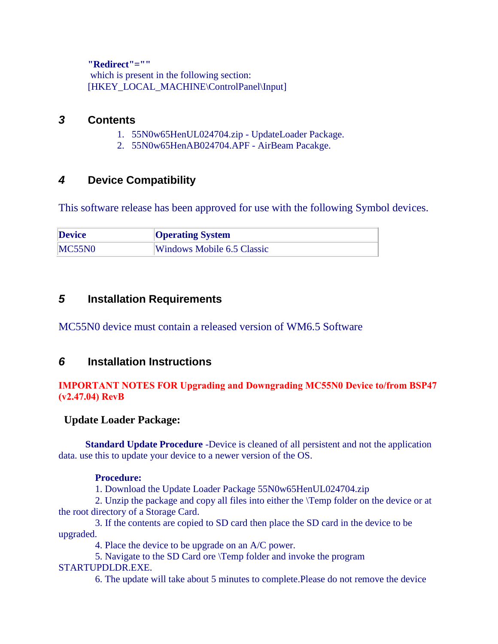**"Redirect"=""**

 which is present in the following section: [HKEY\_LOCAL\_MACHINE\ControlPanel\Input]

### *3* **Contents**

- 1. 55N0w65HenUL024704.zip UpdateLoader Package.
- 2. 55N0w65HenAB024704.APF AirBeam Pacakge.

## *4* **Device Compatibility**

This software release has been approved for use with the following Symbol devices.

| <b>Device</b> | <b>Operating System</b>    |
|---------------|----------------------------|
| MC55N0        | Windows Mobile 6.5 Classic |

### *5* **Installation Requirements**

MC55N0 device must contain a released version of WM6.5 Software

### *6* **Installation Instructions**

#### *IMPORTANT NOTES FOR Upgrading and Downgrading MC55N0 Device to/from BSP47 (v2.47.04) RevB*

### **Update Loader Package:**

**Standard Update Procedure** -Device is cleaned of all persistent and not the application data. use this to update your device to a newer version of the OS.

#### **Procedure:**

1. Download the Update Loader Package 55N0w65HenUL024704.zip

 2. Unzip the package and copy all files into either the \Temp folder on the device or at the root directory of a Storage Card.

 3. If the contents are copied to SD card then place the SD card in the device to be upgraded.

4. Place the device to be upgrade on an A/C power.

 5. Navigate to the SD Card ore \Temp folder and invoke the program STARTUPDLDR.EXE.

6. The update will take about 5 minutes to complete.Please do not remove the device